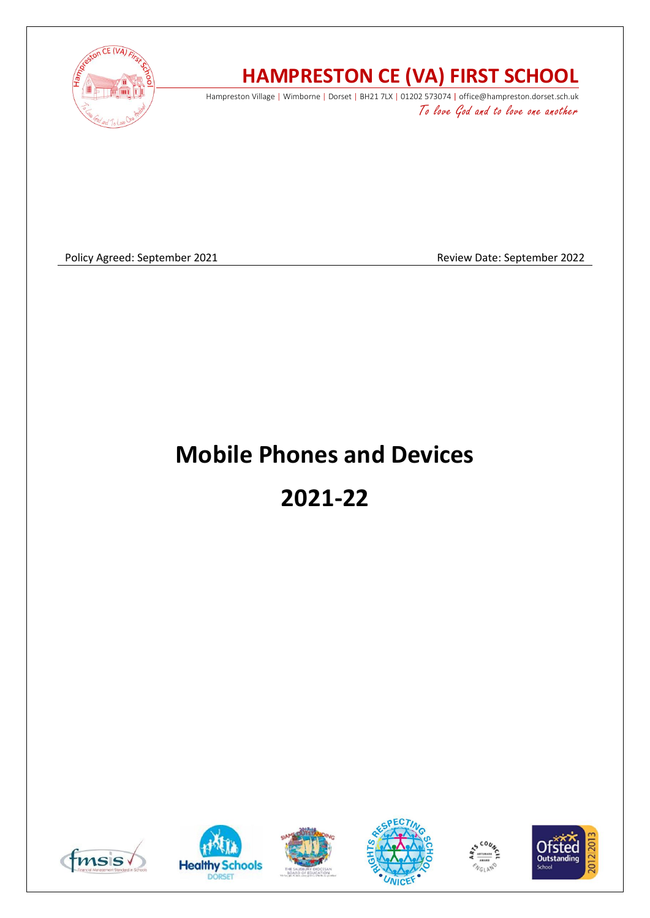

## **HAMPRESTON CE (VA) FIRST SCHOOL**

Hampreston Village | Wimborne | Dorset | BH21 7LX | 01202 573074 | office@hampreston.dorset.sch.uk To love God and to love one another

Policy Agreed: September 2021 and a september 2022 and a september 2022

# **Mobile Phones and Devices**

**2021-22**











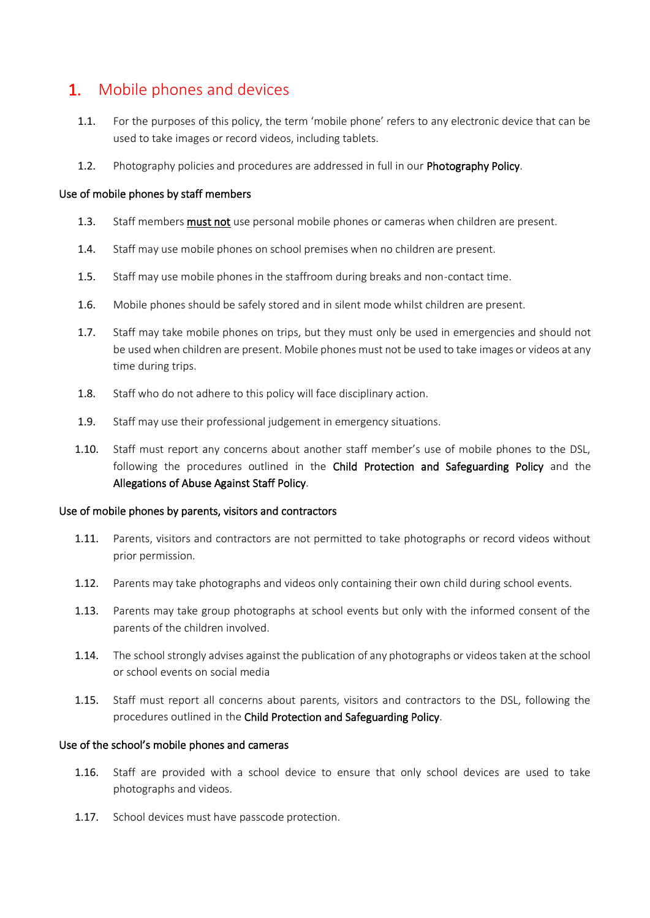### 1. Mobile phones and devices

- 1.1. For the purposes of this policy, the term 'mobile phone' refers to any electronic device that can be used to take images or record videos, including tablets.
- 1.2. Photography policies and procedures are addressed in full in our Photography Policy.

#### Use of mobile phones by staff members

- 1.3. Staff members must not use personal mobile phones or cameras when children are present.
- 1.4. Staff may use mobile phones on school premises when no children are present.
- 1.5. Staff may use mobile phones in the staffroom during breaks and non-contact time.
- 1.6. Mobile phones should be safely stored and in silent mode whilst children are present.
- 1.7. Staff may take mobile phones on trips, but they must only be used in emergencies and should not be used when children are present. Mobile phones must not be used to take images or videos at any time during trips.
- 1.8. Staff who do not adhere to this policy will face disciplinary action.
- 1.9. Staff may use their professional judgement in emergency situations.
- 1.10. Staff must report any concerns about another staff member's use of mobile phones to the DSL, following the procedures outlined in the Child Protection and Safeguarding Policy and the Allegations of Abuse Against Staff Policy.

#### Use of mobile phones by parents, visitors and contractors

- 1.11. Parents, visitors and contractors are not permitted to take photographs or record videos without prior permission.
- 1.12. Parents may take photographs and videos only containing their own child during school events.
- 1.13. Parents may take group photographs at school events but only with the informed consent of the parents of the children involved.
- 1.14. The school strongly advises against the publication of any photographs or videos taken at the school or school events on social media
- 1.15. Staff must report all concerns about parents, visitors and contractors to the DSL, following the procedures outlined in the Child Protection and Safeguarding Policy.

#### Use of the school's mobile phones and cameras

- 1.16. Staff are provided with a school device to ensure that only school devices are used to take photographs and videos.
- 1.17. School devices must have passcode protection.